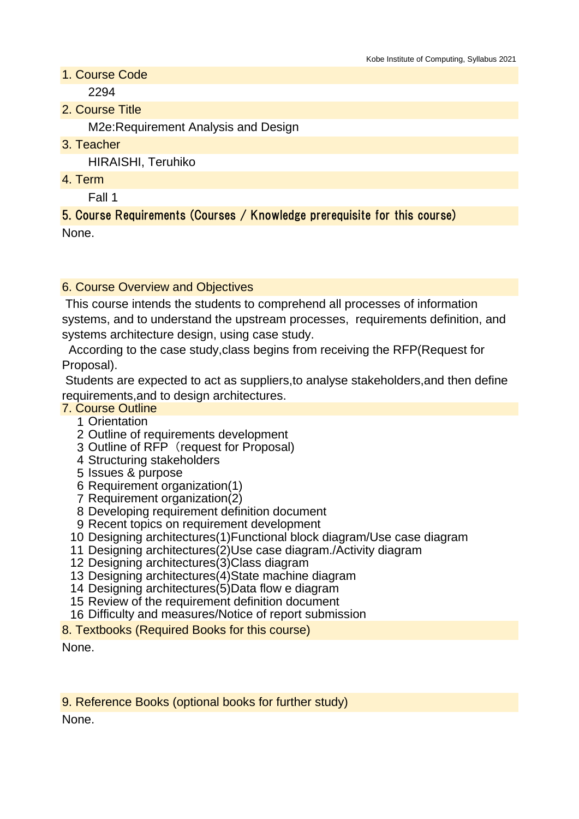- 1. Course Code 2294
- 2. Course Title

M2e:Requirement Analysis and Design

3. Teacher

HIRAISHI, Teruhiko

4. Term

Fall 1

5. Course Requirements (Courses / Knowledge prerequisite for this course) None.

## 6. Course Overview and Objectives

 This course intends the students to comprehend all processes of information systems, and to understand the upstream processes, requirements definition, and systems architecture design, using case study.

 According to the case study,class begins from receiving the RFP(Request for Proposal).

 Students are expected to act as suppliers,to analyse stakeholders,and then define requirements,and to design architectures.

- 7. Course Outline
	- 1 Orientation
	- 2 Outline of requirements development
	- 3 Outline of RFP (request for Proposal)
	- 4 Structuring stakeholders
	- 5 Issues & purpose
	- 6 Requirement organization(1)
	- 7 Requirement organization(2)
	- 8 Developing requirement definition document
	- 9 Recent topics on requirement development
	- 10 Designing architectures(1)Functional block diagram/Use case diagram
	- 11 Designing architectures(2)Use case diagram./Activity diagram
	- 12 Designing architectures(3)Class diagram
	- 13 Designing architectures(4)State machine diagram
	- 14 Designing architectures(5)Data flow e diagram
	- 15 Review of the requirement definition document
	- 16 Difficulty and measures/Notice of report submission
- 8. Textbooks (Required Books for this course)

None.

9. Reference Books (optional books for further study)

None.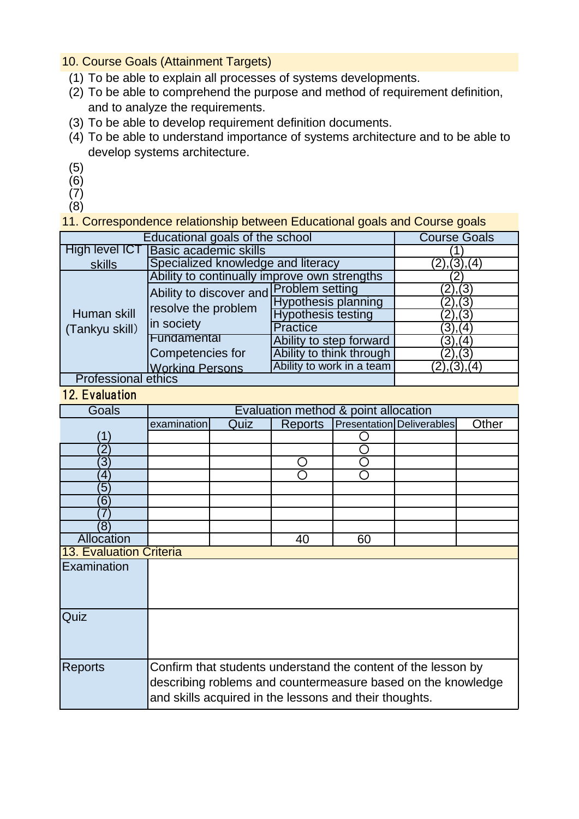10. Course Goals (Attainment Targets)

- (1) To be able to explain all processes of systems developments.
- (2) To be able to comprehend the purpose and method of requirement definition, and to analyze the requirements.
- (3) To be able to develop requirement definition documents.
- (4) To be able to understand importance of systems architecture and to be able to develop systems architecture.
- (5)
- (6)

 $(7)$ 

(8)

11. Correspondence relationship between Educational goals and Course goals

| Educational goals of the school |                                                                              |                            |               |  |  |
|---------------------------------|------------------------------------------------------------------------------|----------------------------|---------------|--|--|
|                                 | <b>Course Goals</b>                                                          |                            |               |  |  |
| High level ICT                  | <b>Basic academic skills</b>                                                 |                            |               |  |  |
| skills                          | Specialized knowledge and literacy                                           | (2), (3), (4)              |               |  |  |
| Human skill<br>(Tankyu skill)   | Ability to continually improve own strengths                                 |                            |               |  |  |
|                                 | Ability to discover and Problem setting<br>resolve the problem<br>in society |                            | (2), (3)      |  |  |
|                                 |                                                                              | <b>Hypothesis planning</b> | (2), (3)      |  |  |
|                                 |                                                                              | <b>Hypothesis testing</b>  | (2), (3)      |  |  |
|                                 |                                                                              | Practice                   | (3), (4)      |  |  |
|                                 | Fundamental                                                                  | Ability to step forward    | (3), (4)      |  |  |
|                                 | Competencies for                                                             | Ability to think through   | (2), (3)      |  |  |
|                                 | <b>Working Persons</b>                                                       | Ability to work in a team  | (2), (3), (4) |  |  |
| <b>Professional ethics</b>      |                                                                              |                            |               |  |  |

## 12. Evaluation

| Goals                   | Evaluation method & point allocation                                                                                          |      |                |    |                                  |       |
|-------------------------|-------------------------------------------------------------------------------------------------------------------------------|------|----------------|----|----------------------------------|-------|
|                         | examination                                                                                                                   | Quiz | <b>Reports</b> |    | <b>Presentation Deliverables</b> | Other |
| 1                       |                                                                                                                               |      |                |    |                                  |       |
| $\mathbf 2$             |                                                                                                                               |      |                |    |                                  |       |
| З                       |                                                                                                                               |      |                |    |                                  |       |
| 4                       |                                                                                                                               |      |                |    |                                  |       |
| 5                       |                                                                                                                               |      |                |    |                                  |       |
| 6                       |                                                                                                                               |      |                |    |                                  |       |
|                         |                                                                                                                               |      |                |    |                                  |       |
| $\mathcal{B}$           |                                                                                                                               |      |                |    |                                  |       |
| Allocation              |                                                                                                                               |      | 40             | 60 |                                  |       |
| 13. Evaluation Criteria |                                                                                                                               |      |                |    |                                  |       |
| Examination             |                                                                                                                               |      |                |    |                                  |       |
|                         |                                                                                                                               |      |                |    |                                  |       |
|                         |                                                                                                                               |      |                |    |                                  |       |
| Quiz                    |                                                                                                                               |      |                |    |                                  |       |
|                         |                                                                                                                               |      |                |    |                                  |       |
|                         |                                                                                                                               |      |                |    |                                  |       |
|                         |                                                                                                                               |      |                |    |                                  |       |
| Reports                 | Confirm that students understand the content of the lesson by<br>describing roblems and countermeasure based on the knowledge |      |                |    |                                  |       |
|                         |                                                                                                                               |      |                |    |                                  |       |
|                         | and skills acquired in the lessons and their thoughts.                                                                        |      |                |    |                                  |       |
|                         |                                                                                                                               |      |                |    |                                  |       |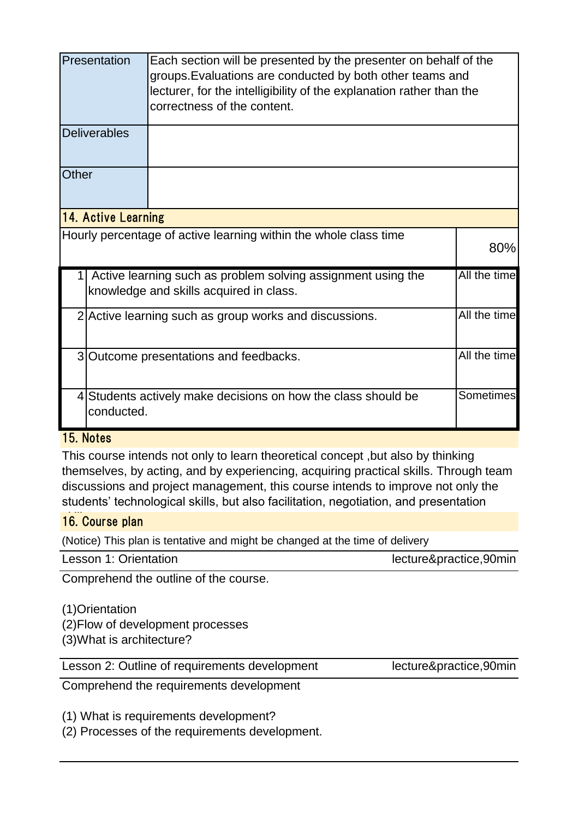|       | Presentation<br>Each section will be presented by the presenter on behalf of the<br>groups. Evaluations are conducted by both other teams and<br>lecturer, for the intelligibility of the explanation rather than the<br>correctness of the content. |                                                                                                         |              |  |  |
|-------|------------------------------------------------------------------------------------------------------------------------------------------------------------------------------------------------------------------------------------------------------|---------------------------------------------------------------------------------------------------------|--------------|--|--|
|       | <b>Deliverables</b>                                                                                                                                                                                                                                  |                                                                                                         |              |  |  |
| Other |                                                                                                                                                                                                                                                      |                                                                                                         |              |  |  |
|       | <b>14. Active Learning</b>                                                                                                                                                                                                                           |                                                                                                         |              |  |  |
|       |                                                                                                                                                                                                                                                      | Hourly percentage of active learning within the whole class time                                        | 80%          |  |  |
|       |                                                                                                                                                                                                                                                      | Active learning such as problem solving assignment using the<br>knowledge and skills acquired in class. | All the time |  |  |
|       | All the time<br>2 Active learning such as group works and discussions.                                                                                                                                                                               |                                                                                                         |              |  |  |
|       | All the time<br>3 Outcome presentations and feedbacks.                                                                                                                                                                                               |                                                                                                         |              |  |  |
|       | Sometimes<br>4 Students actively make decisions on how the class should be<br>conducted.                                                                                                                                                             |                                                                                                         |              |  |  |

## 15. Notes

This course intends not only to learn theoretical concept ,but also by thinking themselves, by acting, and by experiencing, acquiring practical skills. Through team discussions and project management, this course intends to improve not only the students' technological skills, but also facilitation, negotiation, and presentation

## 16. Course plan

(Notice) This plan is tentative and might be changed at the time of delivery

| Lesson 1: Orientation | lecture&practice,90min |
|-----------------------|------------------------|
|                       |                        |

Comprehend the outline of the course.

(1)Orientation

(2)Flow of development processes

(3)What is architecture?

Lesson 2: Outline of requirements development lecture&practice,90min

Comprehend the requirements development

(1) What is requirements development?

(2) Processes of the requirements development.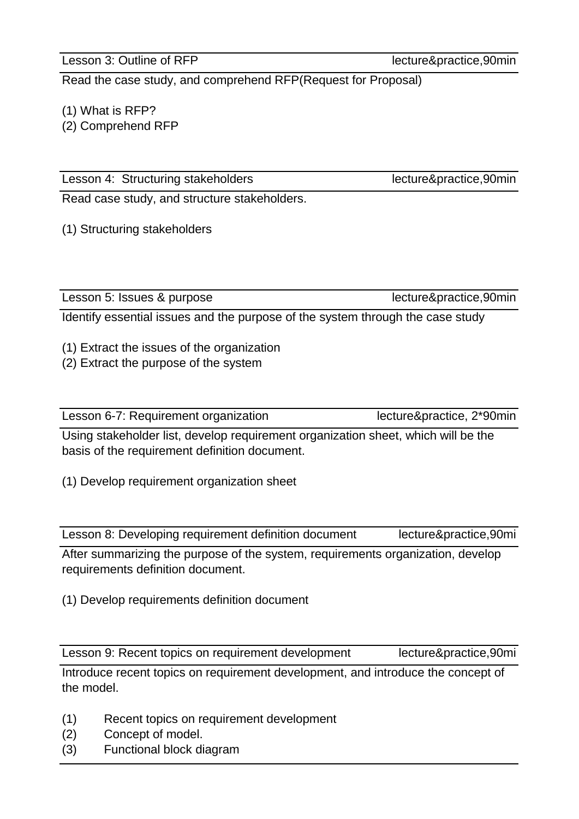Lesson 3: Outline of RFP lecture&practice,90min

Read the case study, and comprehend RFP(Request for Proposal)

(1) What is RFP?

(2) Comprehend RFP

Lesson 4: Structuring stakeholders lecture&practice,90min

Read case study, and structure stakeholders.

(1) Structuring stakeholders

Lesson 5: Issues & purpose lecture&practice,90min

Identify essential issues and the purpose of the system through the case study

(1) Extract the issues of the organization

(2) Extract the purpose of the system

Lesson 6-7: Requirement organization lecture&practice, 2\*90min

Using stakeholder list, develop requirement organization sheet, which will be the basis of the requirement definition document.

(1) Develop requirement organization sheet

Lesson 8: Developing requirement definition document lecture&practice,90mi

After summarizing the purpose of the system, requirements organization, develop requirements definition document.

(1) Develop requirements definition document

Lesson 9: Recent topics on requirement development lecture&practice,90mi

Introduce recent topics on requirement development, and introduce the concept of the model. n

- (1) Recent topics on requirement development
- (2) Concept of model.
- (3) Functional block diagram